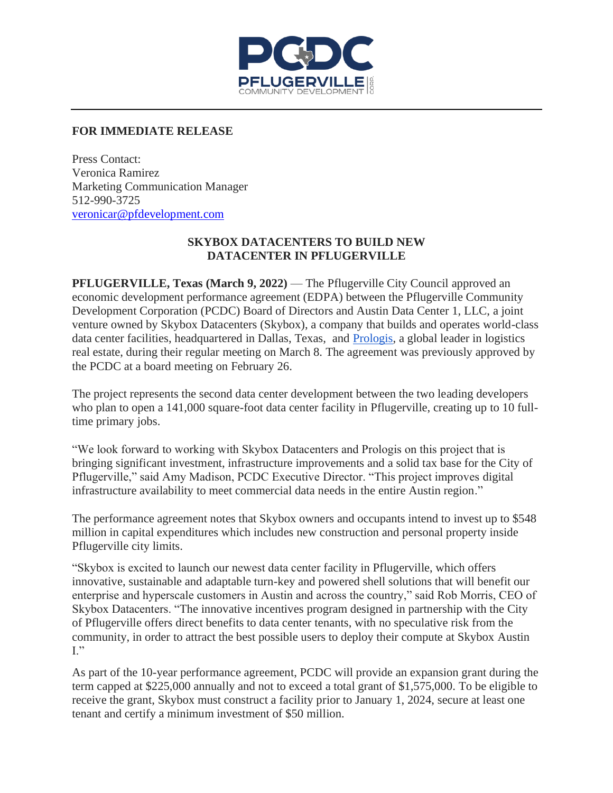

## **FOR IMMEDIATE RELEASE**

Press Contact: Veronica Ramirez Marketing Communication Manager 512-990-3725 [veronicar@pfdevelopment.com](mailto:veronicar@pfdevelopment.com)

## **SKYBOX DATACENTERS TO BUILD NEW DATACENTER IN PFLUGERVILLE**

**PFLUGERVILLE, Texas (March 9, 2022)** — The Pflugerville City Council approved an economic development performance agreement (EDPA) between the Pflugerville Community Development Corporation (PCDC) Board of Directors and Austin Data Center 1, LLC, a joint venture owned by Skybox Datacenters (Skybox), a company that builds and operates world-class data center facilities, headquartered in Dallas, Texas, and [Prologis,](https://www.prologis.com/) a global leader in logistics real estate, during their regular meeting on March 8. The agreement was previously approved by the PCDC at a board meeting on February 26.

The project represents the second data center development between the two leading developers who plan to open a 141,000 square-foot data center facility in Pflugerville, creating up to 10 fulltime primary jobs.

"We look forward to working with Skybox Datacenters and Prologis on this project that is bringing significant investment, infrastructure improvements and a solid tax base for the City of Pflugerville," said Amy Madison, PCDC Executive Director. "This project improves digital infrastructure availability to meet commercial data needs in the entire Austin region."

The performance agreement notes that Skybox owners and occupants intend to invest up to \$548 million in capital expenditures which includes new construction and personal property inside Pflugerville city limits.

"Skybox is excited to launch our newest data center facility in Pflugerville, which offers innovative, sustainable and adaptable turn-key and powered shell solutions that will benefit our enterprise and hyperscale customers in Austin and across the country," said Rob Morris, CEO of Skybox Datacenters. "The innovative incentives program designed in partnership with the City of Pflugerville offers direct benefits to data center tenants, with no speculative risk from the community, in order to attract the best possible users to deploy their compute at Skybox Austin I."

As part of the 10-year performance agreement, PCDC will provide an expansion grant during the term capped at \$225,000 annually and not to exceed a total grant of \$1,575,000. To be eligible to receive the grant, Skybox must construct a facility prior to January 1, 2024, secure at least one tenant and certify a minimum investment of \$50 million.